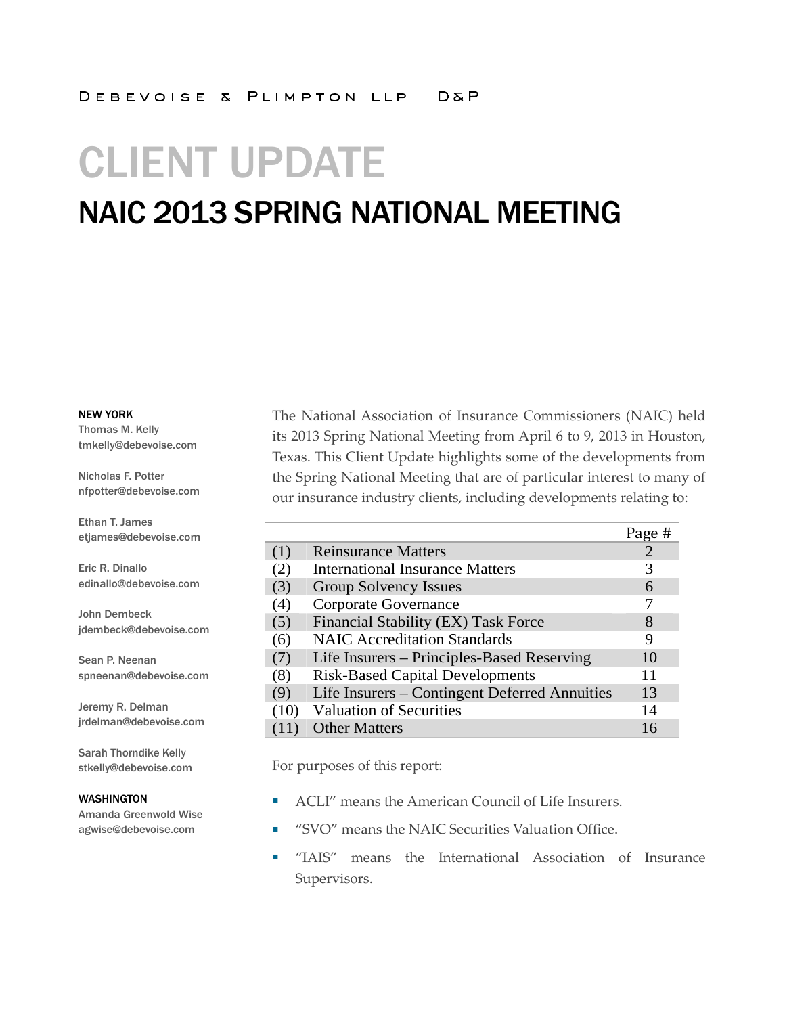# CLIENT UPDATE

### NAIC 2013 SPRING NATIONAL MEETING

NEW YORK

Thomas M. Kelly tmkelly@debevoise.com

Nicholas F. Potter nfpotter@debevoise.com

Ethan T. James etjames@debevoise.com

Eric R. Dinallo edinallo@debevoise.com

John Dembeck jdembeck@debevoise.com

Sean P. Neenan spneenan@debevoise.com

Jeremy R. Delman jrdelman@debevoise.com

Sarah Thorndike Kelly stkelly@debevoise.com

#### WASHINGTON

Amanda Greenwold Wise agwise@debevoise.com

The National Association of Insurance Commissioners (NAIC) held its 2013 Spring National Meeting from April 6 to 9, 2013 in Houston, Texas. This Client Update highlights some of the developments from the Spring National Meeting that are of particular interest to many of our insurance industry clients, including developments relating to:

|      |                                               | Page # |
|------|-----------------------------------------------|--------|
| (1)  | <b>Reinsurance Matters</b>                    |        |
| (2)  | <b>International Insurance Matters</b>        | 3      |
| (3)  | Group Solvency Issues                         | 6      |
| (4)  | Corporate Governance                          |        |
| (5)  | Financial Stability (EX) Task Force           | 8      |
| (6)  | <b>NAIC Accreditation Standards</b>           | 9      |
| (7)  | Life Insurers – Principles-Based Reserving    | 10     |
| (8)  | <b>Risk-Based Capital Developments</b>        | 11     |
| (9)  | Life Insurers – Contingent Deferred Annuities | 13     |
| (10) | <b>Valuation of Securities</b>                | 14     |
|      | <b>Other Matters</b>                          | 16     |

For purposes of this report:

- ACLI" means the American Council of Life Insurers.
- "SVO" means the NAIC Securities Valuation Office.
- "IAIS" means the International Association of Insurance Supervisors.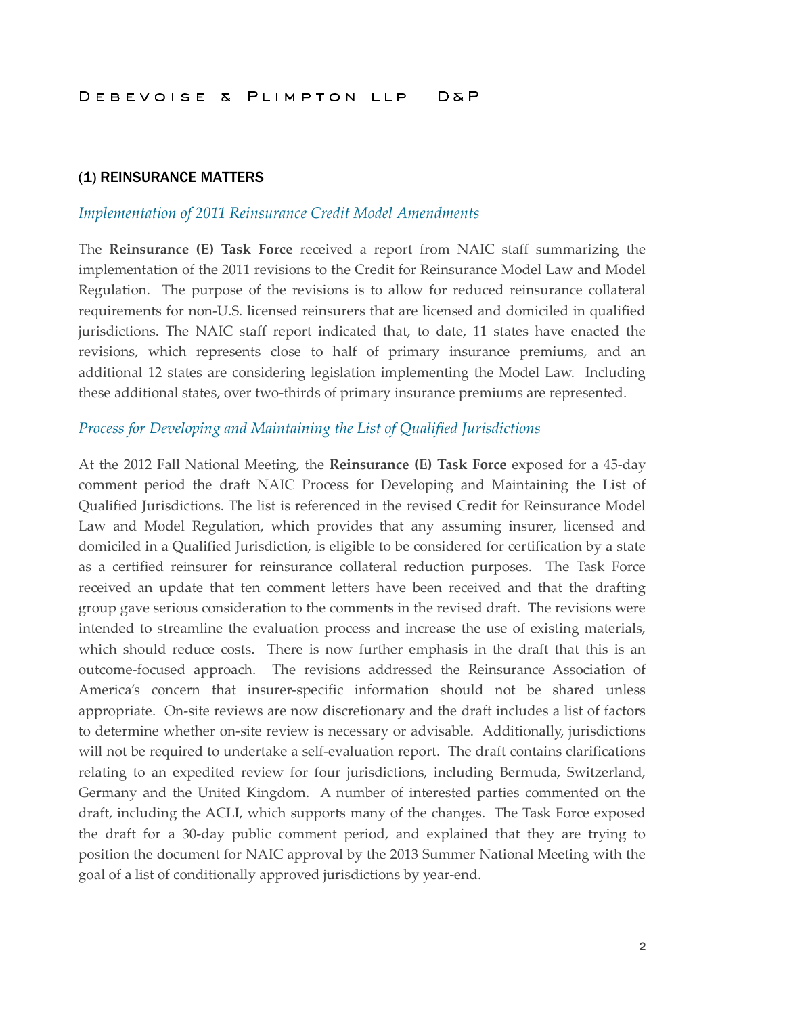#### (1) REINSURANCE MATTERS

### *Implementation of 2011 Reinsurance Credit Model Amendments*

The **Reinsurance (E) Task Force** received a report from NAIC staff summarizing the implementation of the 2011 revisions to the Credit for Reinsurance Model Law and Model Regulation. The purpose of the revisions is to allow for reduced reinsurance collateral requirements for non-U.S. licensed reinsurers that are licensed and domiciled in qualified jurisdictions. The NAIC staff report indicated that, to date, 11 states have enacted the revisions, which represents close to half of primary insurance premiums, and an additional 12 states are considering legislation implementing the Model Law. Including these additional states, over two-thirds of primary insurance premiums are represented.

#### *Process for Developing and Maintaining the List of Qualified Jurisdictions*

At the 2012 Fall National Meeting, the **Reinsurance (E) Task Force** exposed for a 45-day comment period the draft NAIC Process for Developing and Maintaining the List of Qualified Jurisdictions. The list is referenced in the revised Credit for Reinsurance Model Law and Model Regulation, which provides that any assuming insurer, licensed and domiciled in a Qualified Jurisdiction, is eligible to be considered for certification by a state as a certified reinsurer for reinsurance collateral reduction purposes. The Task Force received an update that ten comment letters have been received and that the drafting group gave serious consideration to the comments in the revised draft. The revisions were intended to streamline the evaluation process and increase the use of existing materials, which should reduce costs. There is now further emphasis in the draft that this is an outcome-focused approach. The revisions addressed the Reinsurance Association of America's concern that insurer-specific information should not be shared unless appropriate. On-site reviews are now discretionary and the draft includes a list of factors to determine whether on-site review is necessary or advisable. Additionally, jurisdictions will not be required to undertake a self-evaluation report. The draft contains clarifications relating to an expedited review for four jurisdictions, including Bermuda, Switzerland, Germany and the United Kingdom. A number of interested parties commented on the draft, including the ACLI, which supports many of the changes. The Task Force exposed the draft for a 30-day public comment period, and explained that they are trying to position the document for NAIC approval by the 2013 Summer National Meeting with the goal of a list of conditionally approved jurisdictions by year-end.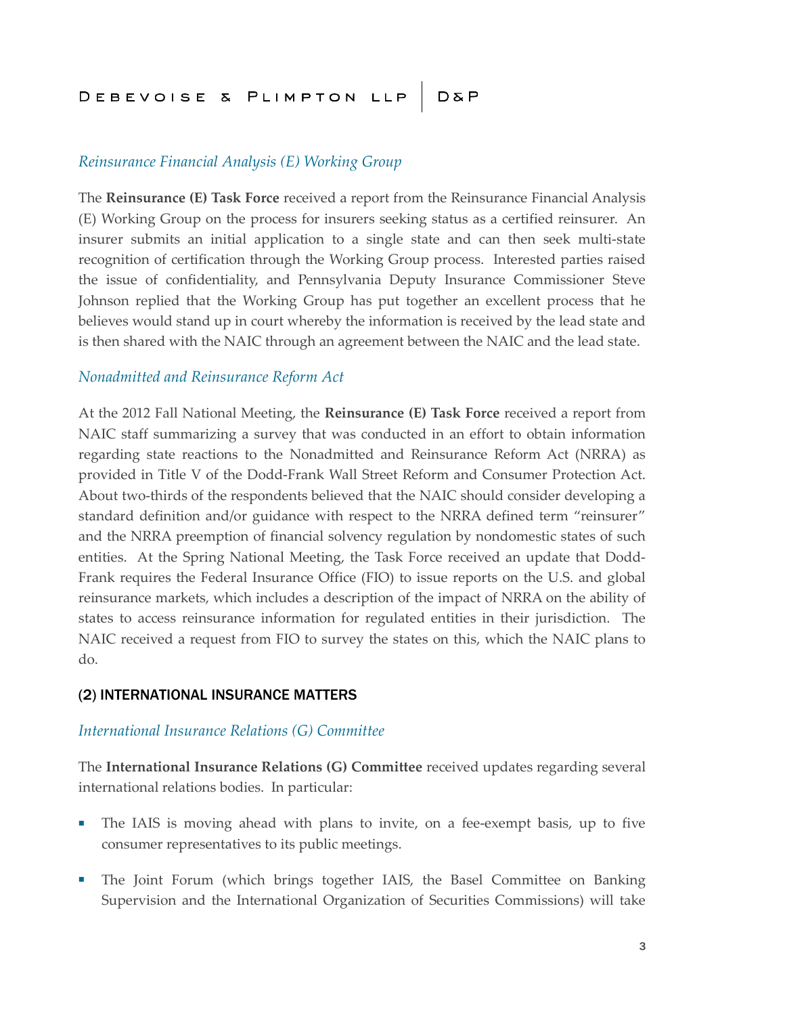### *Reinsurance Financial Analysis (E) Working Group*

The **Reinsurance (E) Task Force** received a report from the Reinsurance Financial Analysis (E) Working Group on the process for insurers seeking status as a certified reinsurer. An insurer submits an initial application to a single state and can then seek multi-state recognition of certification through the Working Group process. Interested parties raised the issue of confidentiality, and Pennsylvania Deputy Insurance Commissioner Steve Johnson replied that the Working Group has put together an excellent process that he believes would stand up in court whereby the information is received by the lead state and is then shared with the NAIC through an agreement between the NAIC and the lead state.

#### *Nonadmitted and Reinsurance Reform Act*

At the 2012 Fall National Meeting, the **Reinsurance (E) Task Force** received a report from NAIC staff summarizing a survey that was conducted in an effort to obtain information regarding state reactions to the Nonadmitted and Reinsurance Reform Act (NRRA) as provided in Title V of the Dodd-Frank Wall Street Reform and Consumer Protection Act. About two-thirds of the respondents believed that the NAIC should consider developing a standard definition and/or guidance with respect to the NRRA defined term "reinsurer" and the NRRA preemption of financial solvency regulation by nondomestic states of such entities. At the Spring National Meeting, the Task Force received an update that Dodd-Frank requires the Federal Insurance Office (FIO) to issue reports on the U.S. and global reinsurance markets, which includes a description of the impact of NRRA on the ability of states to access reinsurance information for regulated entities in their jurisdiction. The NAIC received a request from FIO to survey the states on this, which the NAIC plans to do.

#### (2) INTERNATIONAL INSURANCE MATTERS

#### *International Insurance Relations (G) Committee*

The **International Insurance Relations (G) Committee** received updates regarding several international relations bodies. In particular:

- The IAIS is moving ahead with plans to invite, on a fee-exempt basis, up to five consumer representatives to its public meetings.
- The Joint Forum (which brings together IAIS, the Basel Committee on Banking Supervision and the International Organization of Securities Commissions) will take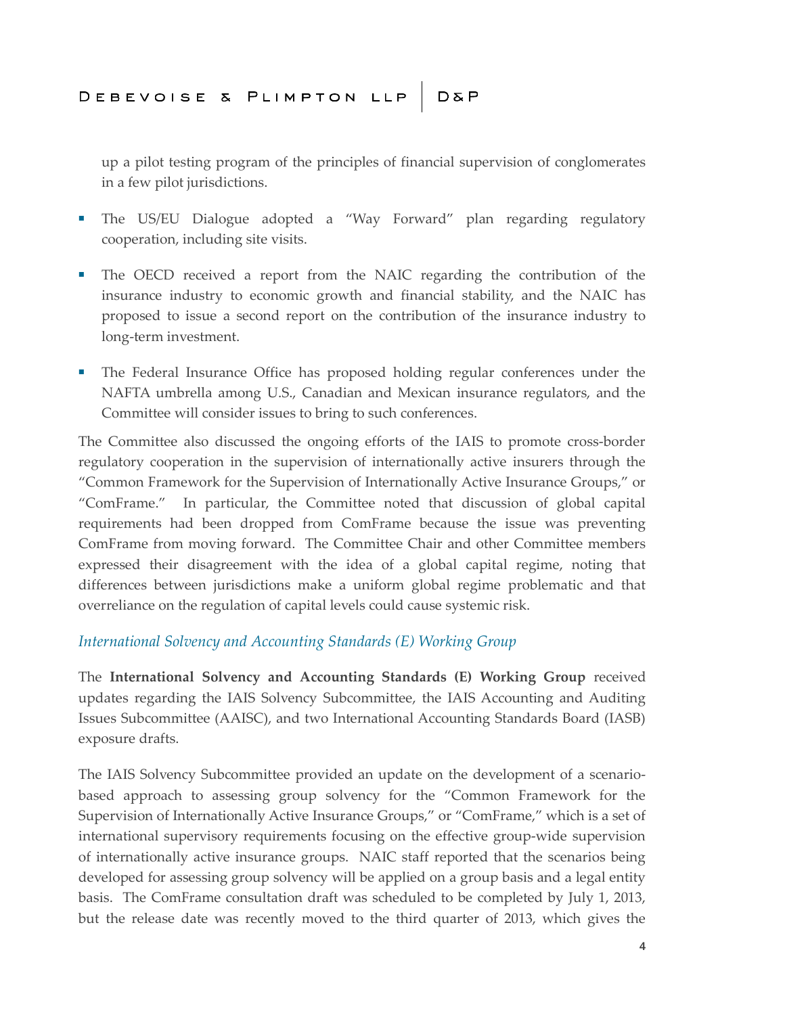up a pilot testing program of the principles of financial supervision of conglomerates in a few pilot jurisdictions.

- The US/EU Dialogue adopted a "Way Forward" plan regarding regulatory cooperation, including site visits.
- The OECD received a report from the NAIC regarding the contribution of the insurance industry to economic growth and financial stability, and the NAIC has proposed to issue a second report on the contribution of the insurance industry to long-term investment.
- The Federal Insurance Office has proposed holding regular conferences under the NAFTA umbrella among U.S., Canadian and Mexican insurance regulators, and the Committee will consider issues to bring to such conferences.

The Committee also discussed the ongoing efforts of the IAIS to promote cross-border regulatory cooperation in the supervision of internationally active insurers through the "Common Framework for the Supervision of Internationally Active Insurance Groups," or "ComFrame." In particular, the Committee noted that discussion of global capital requirements had been dropped from ComFrame because the issue was preventing ComFrame from moving forward. The Committee Chair and other Committee members expressed their disagreement with the idea of a global capital regime, noting that differences between jurisdictions make a uniform global regime problematic and that overreliance on the regulation of capital levels could cause systemic risk.

### *International Solvency and Accounting Standards (E) Working Group*

The **International Solvency and Accounting Standards (E) Working Group** received updates regarding the IAIS Solvency Subcommittee, the IAIS Accounting and Auditing Issues Subcommittee (AAISC), and two International Accounting Standards Board (IASB) exposure drafts.

The IAIS Solvency Subcommittee provided an update on the development of a scenariobased approach to assessing group solvency for the "Common Framework for the Supervision of Internationally Active Insurance Groups," or "ComFrame," which is a set of international supervisory requirements focusing on the effective group-wide supervision of internationally active insurance groups. NAIC staff reported that the scenarios being developed for assessing group solvency will be applied on a group basis and a legal entity basis. The ComFrame consultation draft was scheduled to be completed by July 1, 2013, but the release date was recently moved to the third quarter of 2013, which gives the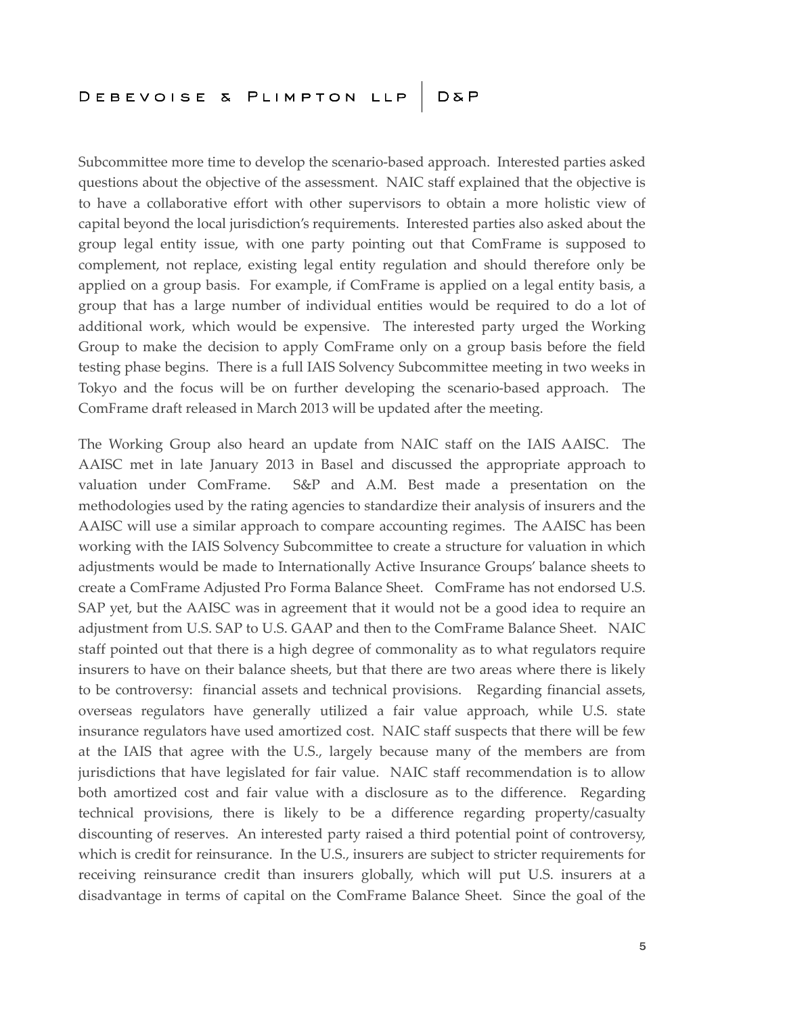Subcommittee more time to develop the scenario-based approach. Interested parties asked questions about the objective of the assessment. NAIC staff explained that the objective is to have a collaborative effort with other supervisors to obtain a more holistic view of capital beyond the local jurisdiction's requirements. Interested parties also asked about the group legal entity issue, with one party pointing out that ComFrame is supposed to complement, not replace, existing legal entity regulation and should therefore only be applied on a group basis. For example, if ComFrame is applied on a legal entity basis, a group that has a large number of individual entities would be required to do a lot of additional work, which would be expensive. The interested party urged the Working Group to make the decision to apply ComFrame only on a group basis before the field testing phase begins. There is a full IAIS Solvency Subcommittee meeting in two weeks in Tokyo and the focus will be on further developing the scenario-based approach. The ComFrame draft released in March 2013 will be updated after the meeting.

The Working Group also heard an update from NAIC staff on the IAIS AAISC. The AAISC met in late January 2013 in Basel and discussed the appropriate approach to valuation under ComFrame. S&P and A.M. Best made a presentation on the methodologies used by the rating agencies to standardize their analysis of insurers and the AAISC will use a similar approach to compare accounting regimes. The AAISC has been working with the IAIS Solvency Subcommittee to create a structure for valuation in which adjustments would be made to Internationally Active Insurance Groups' balance sheets to create a ComFrame Adjusted Pro Forma Balance Sheet. ComFrame has not endorsed U.S. SAP yet, but the AAISC was in agreement that it would not be a good idea to require an adjustment from U.S. SAP to U.S. GAAP and then to the ComFrame Balance Sheet. NAIC staff pointed out that there is a high degree of commonality as to what regulators require insurers to have on their balance sheets, but that there are two areas where there is likely to be controversy: financial assets and technical provisions. Regarding financial assets, overseas regulators have generally utilized a fair value approach, while U.S. state insurance regulators have used amortized cost. NAIC staff suspects that there will be few at the IAIS that agree with the U.S., largely because many of the members are from jurisdictions that have legislated for fair value. NAIC staff recommendation is to allow both amortized cost and fair value with a disclosure as to the difference. Regarding technical provisions, there is likely to be a difference regarding property/casualty discounting of reserves. An interested party raised a third potential point of controversy, which is credit for reinsurance. In the U.S., insurers are subject to stricter requirements for receiving reinsurance credit than insurers globally, which will put U.S. insurers at a disadvantage in terms of capital on the ComFrame Balance Sheet. Since the goal of the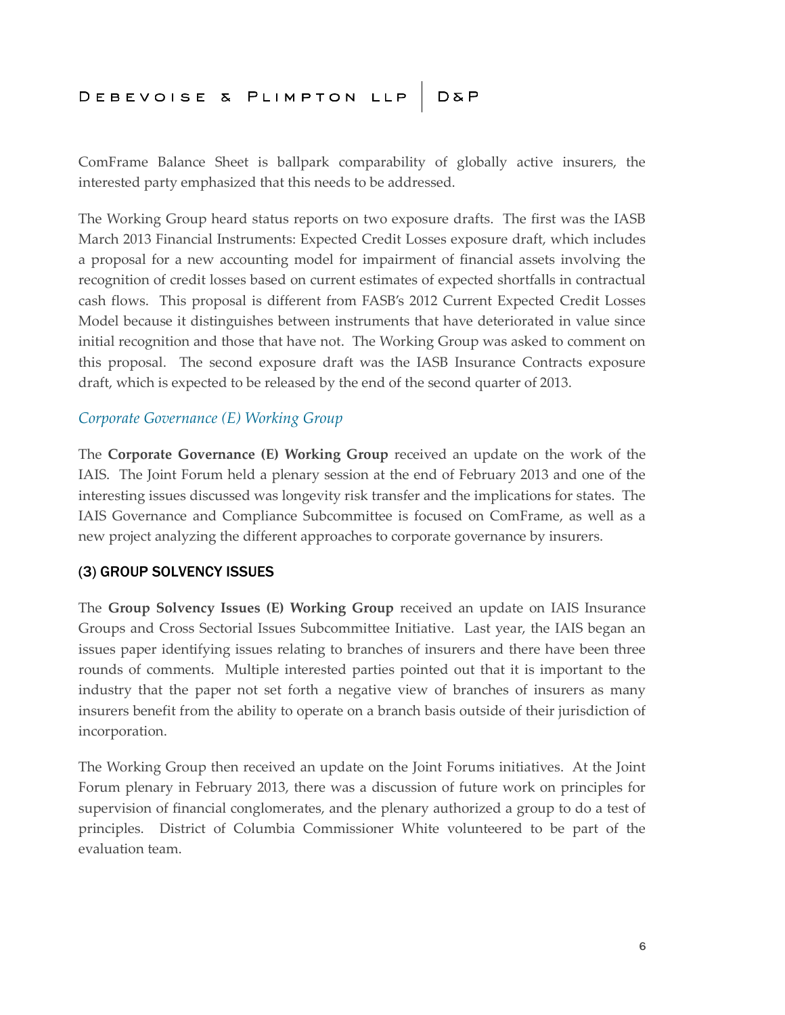ComFrame Balance Sheet is ballpark comparability of globally active insurers, the interested party emphasized that this needs to be addressed.

The Working Group heard status reports on two exposure drafts. The first was the IASB March 2013 Financial Instruments: Expected Credit Losses exposure draft, which includes a proposal for a new accounting model for impairment of financial assets involving the recognition of credit losses based on current estimates of expected shortfalls in contractual cash flows. This proposal is different from FASB's 2012 Current Expected Credit Losses Model because it distinguishes between instruments that have deteriorated in value since initial recognition and those that have not. The Working Group was asked to comment on this proposal. The second exposure draft was the IASB Insurance Contracts exposure draft, which is expected to be released by the end of the second quarter of 2013.

### *Corporate Governance (E) Working Group*

The **Corporate Governance (E) Working Group** received an update on the work of the IAIS. The Joint Forum held a plenary session at the end of February 2013 and one of the interesting issues discussed was longevity risk transfer and the implications for states. The IAIS Governance and Compliance Subcommittee is focused on ComFrame, as well as a new project analyzing the different approaches to corporate governance by insurers.

### (3) GROUP SOLVENCY ISSUES

The **Group Solvency Issues (E) Working Group** received an update on IAIS Insurance Groups and Cross Sectorial Issues Subcommittee Initiative. Last year, the IAIS began an issues paper identifying issues relating to branches of insurers and there have been three rounds of comments. Multiple interested parties pointed out that it is important to the industry that the paper not set forth a negative view of branches of insurers as many insurers benefit from the ability to operate on a branch basis outside of their jurisdiction of incorporation.

The Working Group then received an update on the Joint Forums initiatives. At the Joint Forum plenary in February 2013, there was a discussion of future work on principles for supervision of financial conglomerates, and the plenary authorized a group to do a test of principles. District of Columbia Commissioner White volunteered to be part of the evaluation team.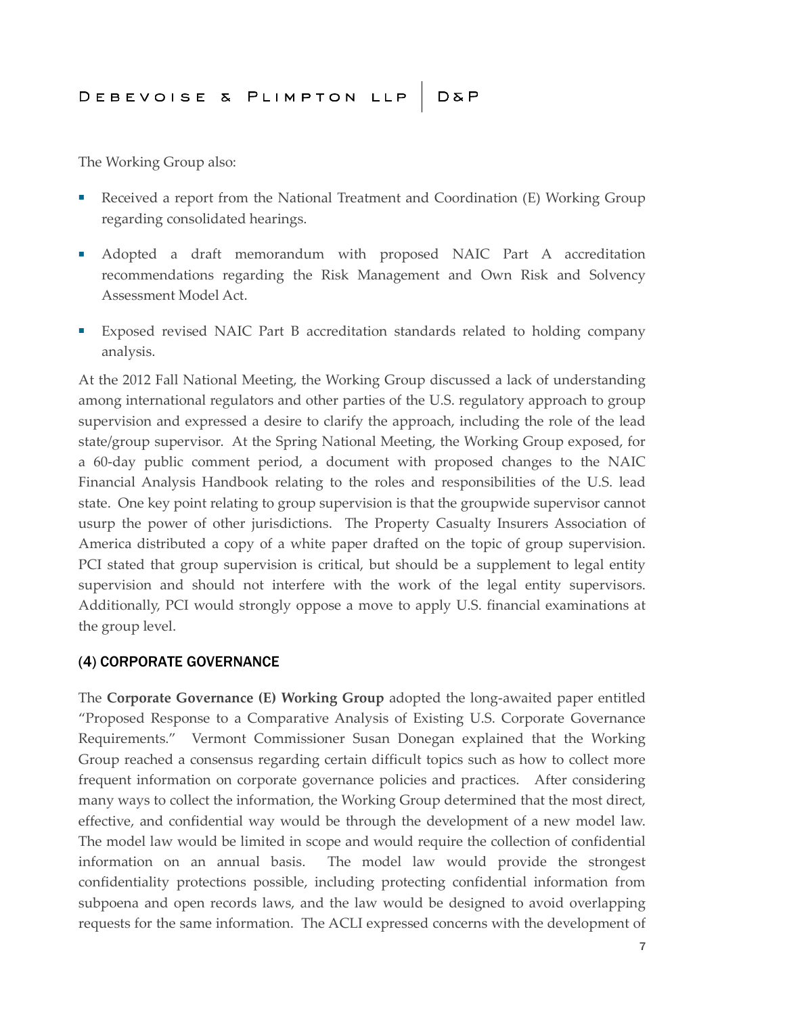The Working Group also:

- Received a report from the National Treatment and Coordination (E) Working Group regarding consolidated hearings.
- Adopted a draft memorandum with proposed NAIC Part A accreditation recommendations regarding the Risk Management and Own Risk and Solvency Assessment Model Act.
- Exposed revised NAIC Part B accreditation standards related to holding company analysis.

At the 2012 Fall National Meeting, the Working Group discussed a lack of understanding among international regulators and other parties of the U.S. regulatory approach to group supervision and expressed a desire to clarify the approach, including the role of the lead state/group supervisor. At the Spring National Meeting, the Working Group exposed, for a 60-day public comment period, a document with proposed changes to the NAIC Financial Analysis Handbook relating to the roles and responsibilities of the U.S. lead state. One key point relating to group supervision is that the groupwide supervisor cannot usurp the power of other jurisdictions. The Property Casualty Insurers Association of America distributed a copy of a white paper drafted on the topic of group supervision. PCI stated that group supervision is critical, but should be a supplement to legal entity supervision and should not interfere with the work of the legal entity supervisors. Additionally, PCI would strongly oppose a move to apply U.S. financial examinations at the group level.

### (4) CORPORATE GOVERNANCE

The **Corporate Governance (E) Working Group** adopted the long-awaited paper entitled "Proposed Response to a Comparative Analysis of Existing U.S. Corporate Governance Requirements." Vermont Commissioner Susan Donegan explained that the Working Group reached a consensus regarding certain difficult topics such as how to collect more frequent information on corporate governance policies and practices. After considering many ways to collect the information, the Working Group determined that the most direct, effective, and confidential way would be through the development of a new model law. The model law would be limited in scope and would require the collection of confidential information on an annual basis. The model law would provide the strongest confidentiality protections possible, including protecting confidential information from subpoena and open records laws, and the law would be designed to avoid overlapping requests for the same information. The ACLI expressed concerns with the development of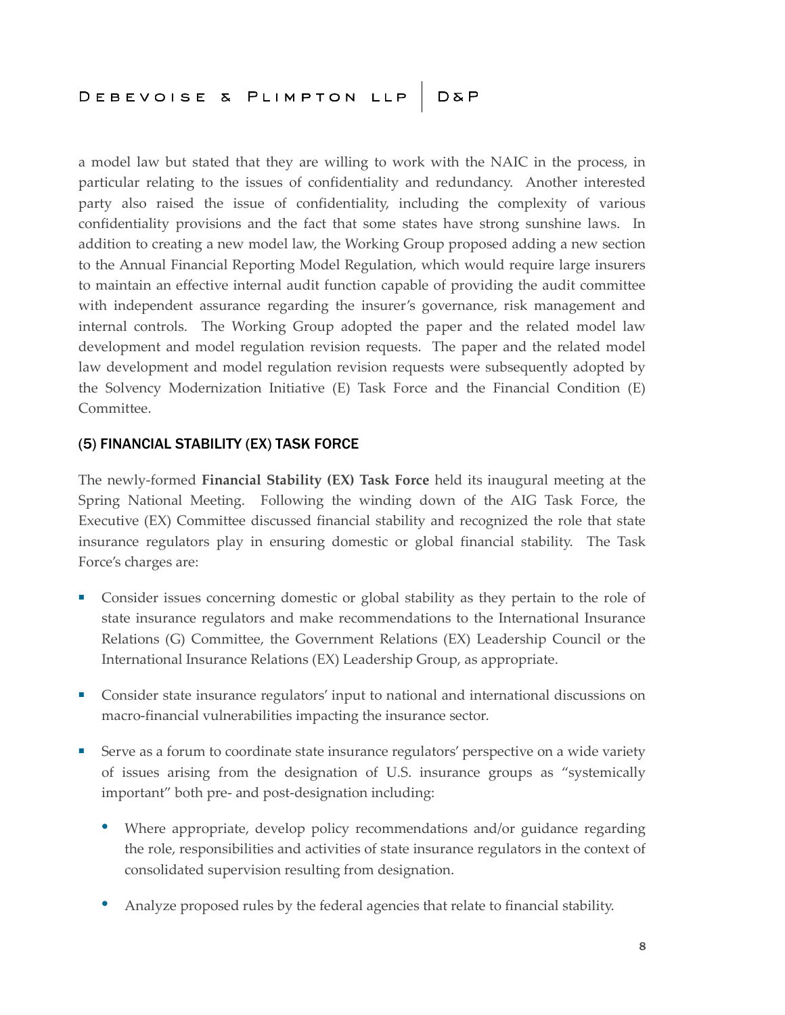a model law but stated that they are willing to work with the NAIC in the process, in particular relating to the issues of confidentiality and redundancy. Another interested party also raised the issue of confidentiality, including the complexity of various confidentiality provisions and the fact that some states have strong sunshine laws. In addition to creating a new model law, the Working Group proposed adding a new section to the Annual Financial Reporting Model Regulation, which would require large insurers to maintain an effective internal audit function capable of providing the audit committee with independent assurance regarding the insurer's governance, risk management and internal controls. The Working Group adopted the paper and the related model law development and model regulation revision requests. The paper and the related model law development and model regulation revision requests were subsequently adopted by the Solvency Modernization Initiative (E) Task Force and the Financial Condition (E) Committee.

### (5) FINANCIAL STABILITY (EX) TASK FORCE

The newly-formed **Financial Stability (EX) Task Force** held its inaugural meeting at the Spring National Meeting. Following the winding down of the AIG Task Force, the Executive (EX) Committee discussed financial stability and recognized the role that state insurance regulators play in ensuring domestic or global financial stability. The Task Force's charges are:

- Consider issues concerning domestic or global stability as they pertain to the role of state insurance regulators and make recommendations to the International Insurance Relations (G) Committee, the Government Relations (EX) Leadership Council or the International Insurance Relations (EX) Leadership Group, as appropriate.
- Consider state insurance regulators' input to national and international discussions on macro-financial vulnerabilities impacting the insurance sector.
- Serve as a forum to coordinate state insurance regulators' perspective on a wide variety of issues arising from the designation of U.S. insurance groups as "systemically important" both pre- and post-designation including:
	- Where appropriate, develop policy recommendations and/or guidance regarding the role, responsibilities and activities of state insurance regulators in the context of consolidated supervision resulting from designation.
	- Analyze proposed rules by the federal agencies that relate to financial stability.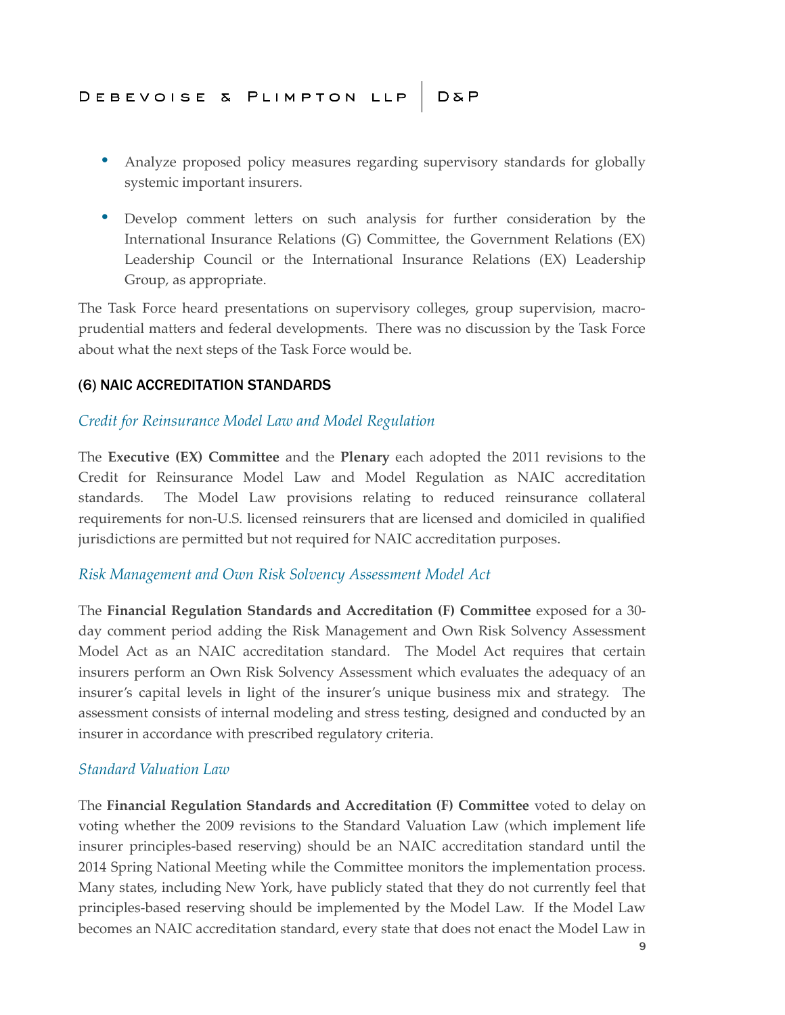- Analyze proposed policy measures regarding supervisory standards for globally systemic important insurers.
- Develop comment letters on such analysis for further consideration by the International Insurance Relations (G) Committee, the Government Relations (EX) Leadership Council or the International Insurance Relations (EX) Leadership Group, as appropriate.

The Task Force heard presentations on supervisory colleges, group supervision, macroprudential matters and federal developments. There was no discussion by the Task Force about what the next steps of the Task Force would be.

### (6) NAIC ACCREDITATION STANDARDS

### *Credit for Reinsurance Model Law and Model Regulation*

The **Executive (EX) Committee** and the **Plenary** each adopted the 2011 revisions to the Credit for Reinsurance Model Law and Model Regulation as NAIC accreditation standards. The Model Law provisions relating to reduced reinsurance collateral requirements for non-U.S. licensed reinsurers that are licensed and domiciled in qualified jurisdictions are permitted but not required for NAIC accreditation purposes.

### *Risk Management and Own Risk Solvency Assessment Model Act*

The **Financial Regulation Standards and Accreditation (F) Committee** exposed for a 30 day comment period adding the Risk Management and Own Risk Solvency Assessment Model Act as an NAIC accreditation standard. The Model Act requires that certain insurers perform an Own Risk Solvency Assessment which evaluates the adequacy of an insurer's capital levels in light of the insurer's unique business mix and strategy. The assessment consists of internal modeling and stress testing, designed and conducted by an insurer in accordance with prescribed regulatory criteria.

### *Standard Valuation Law*

The **Financial Regulation Standards and Accreditation (F) Committee** voted to delay on voting whether the 2009 revisions to the Standard Valuation Law (which implement life insurer principles-based reserving) should be an NAIC accreditation standard until the 2014 Spring National Meeting while the Committee monitors the implementation process. Many states, including New York, have publicly stated that they do not currently feel that principles-based reserving should be implemented by the Model Law. If the Model Law becomes an NAIC accreditation standard, every state that does not enact the Model Law in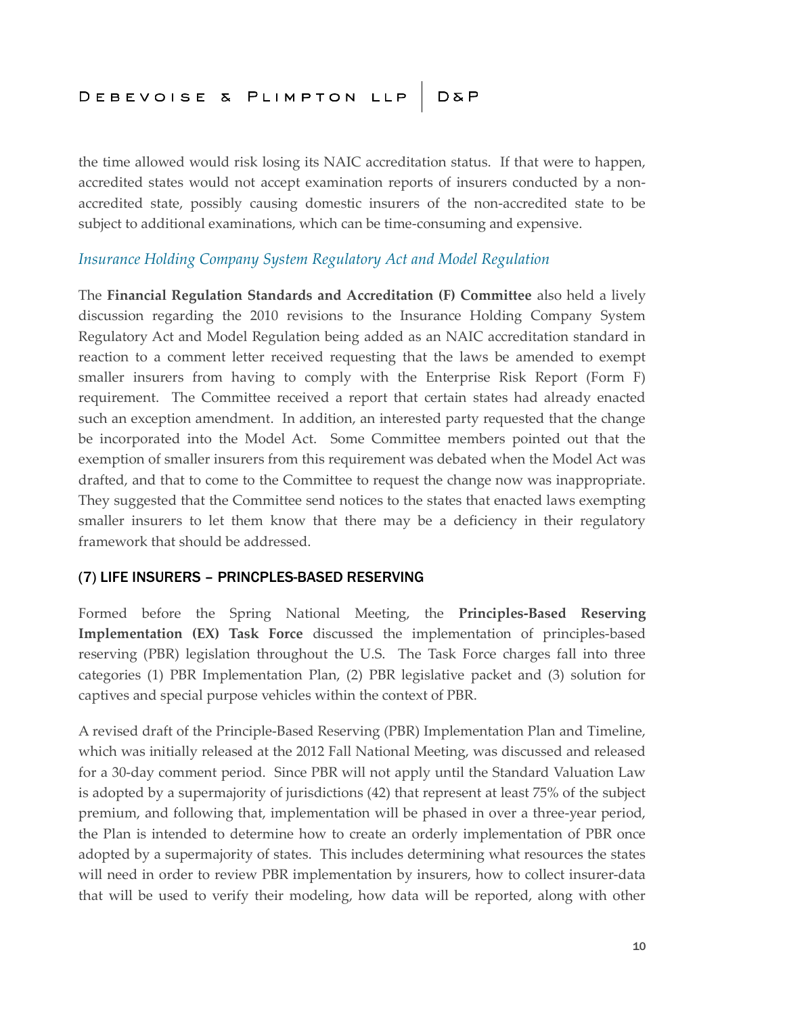the time allowed would risk losing its NAIC accreditation status. If that were to happen, accredited states would not accept examination reports of insurers conducted by a nonaccredited state, possibly causing domestic insurers of the non-accredited state to be subject to additional examinations, which can be time-consuming and expensive.

### *Insurance Holding Company System Regulatory Act and Model Regulation*

The **Financial Regulation Standards and Accreditation (F) Committee** also held a lively discussion regarding the 2010 revisions to the Insurance Holding Company System Regulatory Act and Model Regulation being added as an NAIC accreditation standard in reaction to a comment letter received requesting that the laws be amended to exempt smaller insurers from having to comply with the Enterprise Risk Report (Form F) requirement. The Committee received a report that certain states had already enacted such an exception amendment. In addition, an interested party requested that the change be incorporated into the Model Act. Some Committee members pointed out that the exemption of smaller insurers from this requirement was debated when the Model Act was drafted, and that to come to the Committee to request the change now was inappropriate. They suggested that the Committee send notices to the states that enacted laws exempting smaller insurers to let them know that there may be a deficiency in their regulatory framework that should be addressed.

### (7) LIFE INSURERS – PRINCPLES-BASED RESERVING

Formed before the Spring National Meeting, the **Principles-Based Reserving Implementation (EX) Task Force** discussed the implementation of principles-based reserving (PBR) legislation throughout the U.S. The Task Force charges fall into three categories (1) PBR Implementation Plan, (2) PBR legislative packet and (3) solution for captives and special purpose vehicles within the context of PBR.

A revised draft of the Principle-Based Reserving (PBR) Implementation Plan and Timeline, which was initially released at the 2012 Fall National Meeting, was discussed and released for a 30-day comment period. Since PBR will not apply until the Standard Valuation Law is adopted by a supermajority of jurisdictions (42) that represent at least 75% of the subject premium, and following that, implementation will be phased in over a three-year period, the Plan is intended to determine how to create an orderly implementation of PBR once adopted by a supermajority of states. This includes determining what resources the states will need in order to review PBR implementation by insurers, how to collect insurer-data that will be used to verify their modeling, how data will be reported, along with other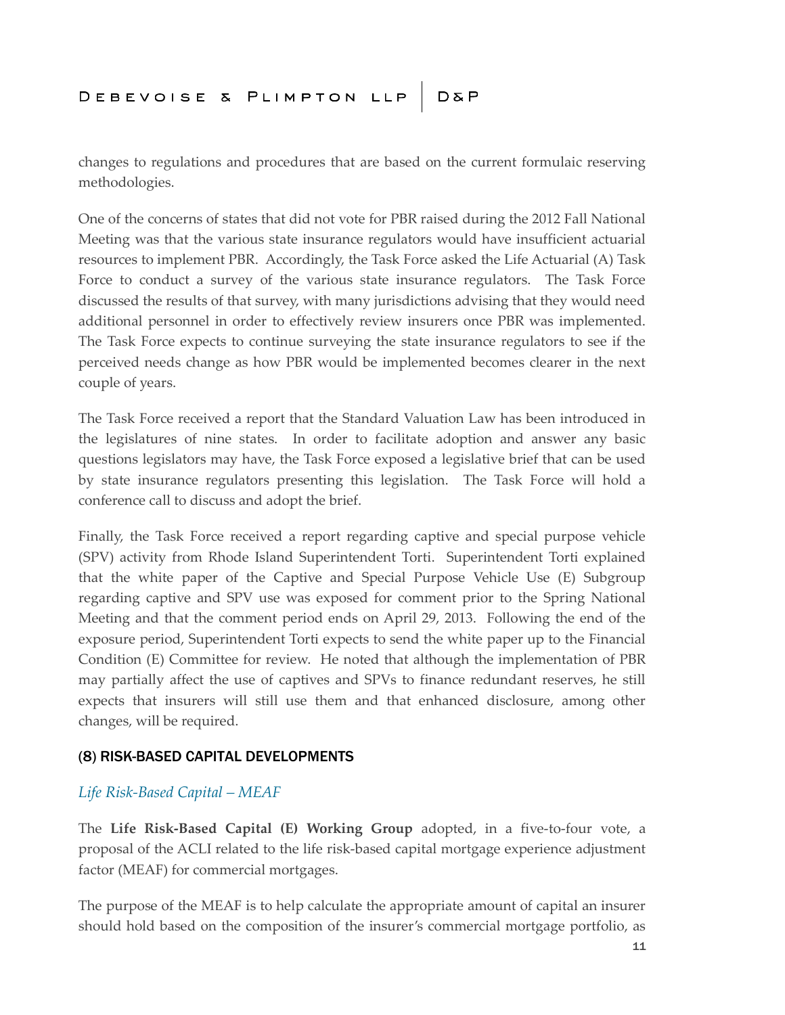changes to regulations and procedures that are based on the current formulaic reserving methodologies.

One of the concerns of states that did not vote for PBR raised during the 2012 Fall National Meeting was that the various state insurance regulators would have insufficient actuarial resources to implement PBR. Accordingly, the Task Force asked the Life Actuarial (A) Task Force to conduct a survey of the various state insurance regulators. The Task Force discussed the results of that survey, with many jurisdictions advising that they would need additional personnel in order to effectively review insurers once PBR was implemented. The Task Force expects to continue surveying the state insurance regulators to see if the perceived needs change as how PBR would be implemented becomes clearer in the next couple of years.

The Task Force received a report that the Standard Valuation Law has been introduced in the legislatures of nine states. In order to facilitate adoption and answer any basic questions legislators may have, the Task Force exposed a legislative brief that can be used by state insurance regulators presenting this legislation. The Task Force will hold a conference call to discuss and adopt the brief.

Finally, the Task Force received a report regarding captive and special purpose vehicle (SPV) activity from Rhode Island Superintendent Torti. Superintendent Torti explained that the white paper of the Captive and Special Purpose Vehicle Use (E) Subgroup regarding captive and SPV use was exposed for comment prior to the Spring National Meeting and that the comment period ends on April 29, 2013. Following the end of the exposure period, Superintendent Torti expects to send the white paper up to the Financial Condition (E) Committee for review. He noted that although the implementation of PBR may partially affect the use of captives and SPVs to finance redundant reserves, he still expects that insurers will still use them and that enhanced disclosure, among other changes, will be required.

### (8) RISK-BASED CAPITAL DEVELOPMENTS

### *Life Risk-Based Capital – MEAF*

The **Life Risk-Based Capital (E) Working Group** adopted, in a five-to-four vote, a proposal of the ACLI related to the life risk-based capital mortgage experience adjustment factor (MEAF) for commercial mortgages.

The purpose of the MEAF is to help calculate the appropriate amount of capital an insurer should hold based on the composition of the insurer's commercial mortgage portfolio, as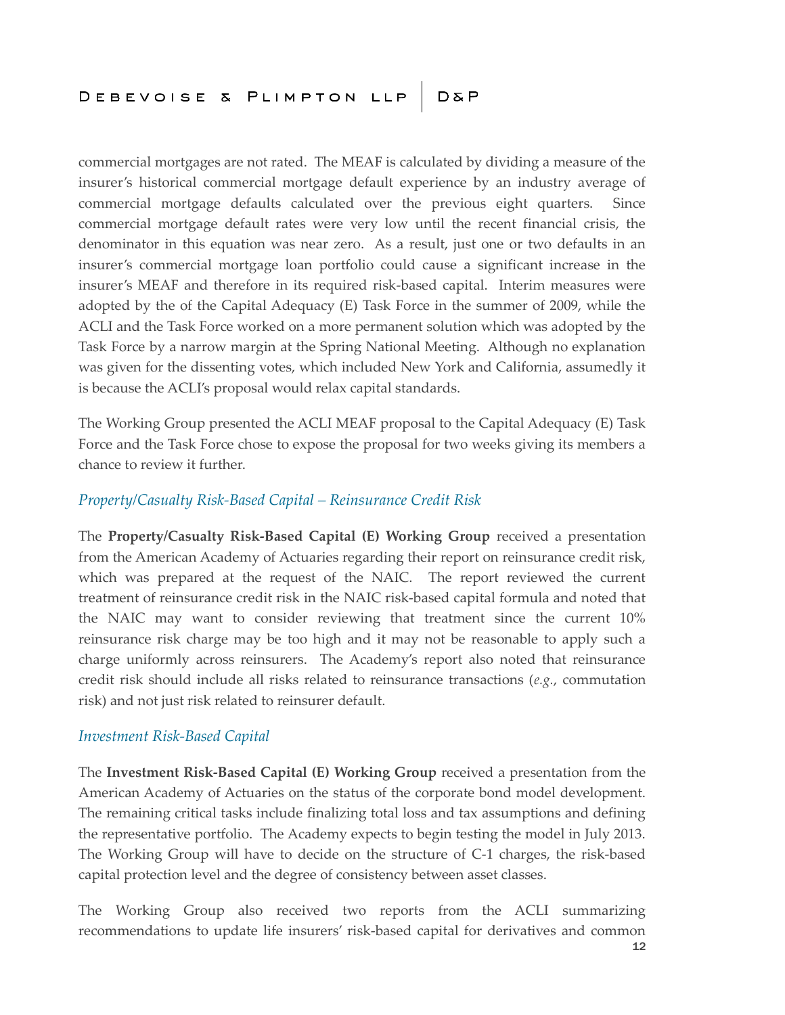commercial mortgages are not rated. The MEAF is calculated by dividing a measure of the insurer's historical commercial mortgage default experience by an industry average of commercial mortgage defaults calculated over the previous eight quarters. Since commercial mortgage default rates were very low until the recent financial crisis, the denominator in this equation was near zero. As a result, just one or two defaults in an insurer's commercial mortgage loan portfolio could cause a significant increase in the insurer's MEAF and therefore in its required risk-based capital. Interim measures were adopted by the of the Capital Adequacy (E) Task Force in the summer of 2009, while the ACLI and the Task Force worked on a more permanent solution which was adopted by the Task Force by a narrow margin at the Spring National Meeting. Although no explanation was given for the dissenting votes, which included New York and California, assumedly it is because the ACLI's proposal would relax capital standards.

The Working Group presented the ACLI MEAF proposal to the Capital Adequacy (E) Task Force and the Task Force chose to expose the proposal for two weeks giving its members a chance to review it further.

### *Property/Casualty Risk-Based Capital – Reinsurance Credit Risk*

The **Property/Casualty Risk-Based Capital (E) Working Group** received a presentation from the American Academy of Actuaries regarding their report on reinsurance credit risk, which was prepared at the request of the NAIC. The report reviewed the current treatment of reinsurance credit risk in the NAIC risk-based capital formula and noted that the NAIC may want to consider reviewing that treatment since the current 10% reinsurance risk charge may be too high and it may not be reasonable to apply such a charge uniformly across reinsurers. The Academy's report also noted that reinsurance credit risk should include all risks related to reinsurance transactions (*e.g.*, commutation risk) and not just risk related to reinsurer default.

### *Investment Risk-Based Capital*

The **Investment Risk-Based Capital (E) Working Group** received a presentation from the American Academy of Actuaries on the status of the corporate bond model development. The remaining critical tasks include finalizing total loss and tax assumptions and defining the representative portfolio. The Academy expects to begin testing the model in July 2013. The Working Group will have to decide on the structure of C-1 charges, the risk-based capital protection level and the degree of consistency between asset classes.

The Working Group also received two reports from the ACLI summarizing recommendations to update life insurers' risk-based capital for derivatives and common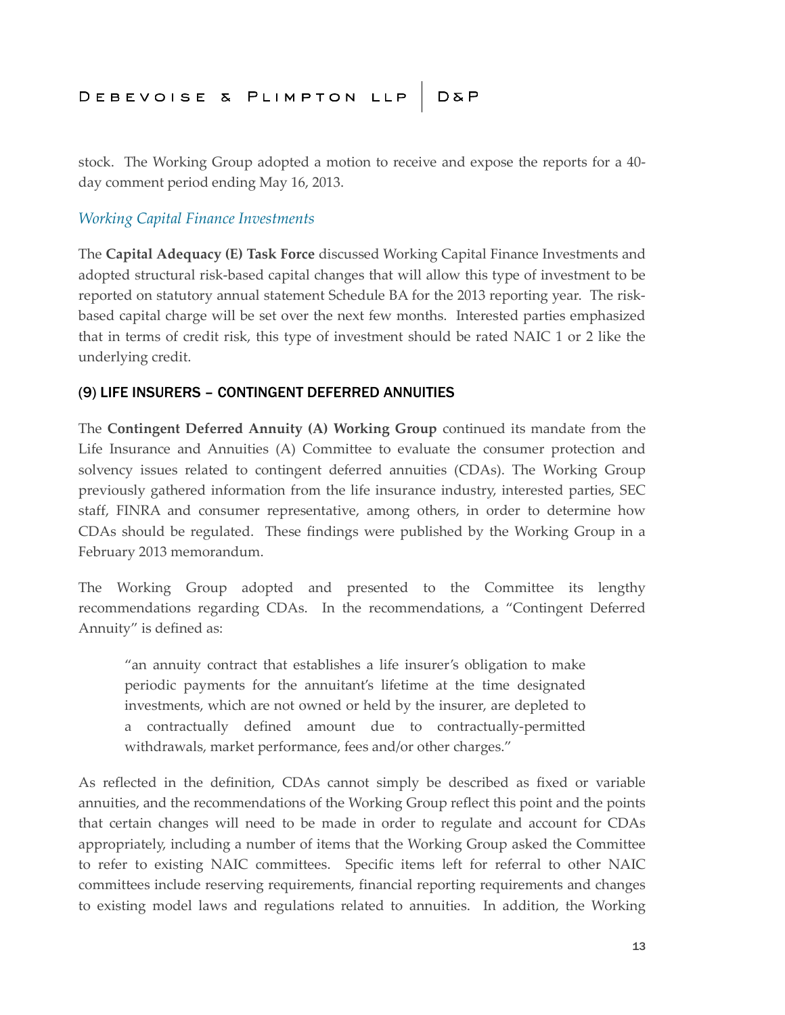stock. The Working Group adopted a motion to receive and expose the reports for a 40 day comment period ending May 16, 2013.

### *Working Capital Finance Investments*

The **Capital Adequacy (E) Task Force** discussed Working Capital Finance Investments and adopted structural risk-based capital changes that will allow this type of investment to be reported on statutory annual statement Schedule BA for the 2013 reporting year. The riskbased capital charge will be set over the next few months. Interested parties emphasized that in terms of credit risk, this type of investment should be rated NAIC 1 or 2 like the underlying credit.

### (9) LIFE INSURERS – CONTINGENT DEFERRED ANNUITIES

The **Contingent Deferred Annuity (A) Working Group** continued its mandate from the Life Insurance and Annuities (A) Committee to evaluate the consumer protection and solvency issues related to contingent deferred annuities (CDAs). The Working Group previously gathered information from the life insurance industry, interested parties, SEC staff, FINRA and consumer representative, among others, in order to determine how CDAs should be regulated. These findings were published by the Working Group in a February 2013 memorandum.

The Working Group adopted and presented to the Committee its lengthy recommendations regarding CDAs. In the recommendations, a "Contingent Deferred Annuity" is defined as:

"an annuity contract that establishes a life insurer's obligation to make periodic payments for the annuitant's lifetime at the time designated investments, which are not owned or held by the insurer, are depleted to a contractually defined amount due to contractually-permitted withdrawals, market performance, fees and/or other charges."

As reflected in the definition, CDAs cannot simply be described as fixed or variable annuities, and the recommendations of the Working Group reflect this point and the points that certain changes will need to be made in order to regulate and account for CDAs appropriately, including a number of items that the Working Group asked the Committee to refer to existing NAIC committees. Specific items left for referral to other NAIC committees include reserving requirements, financial reporting requirements and changes to existing model laws and regulations related to annuities. In addition, the Working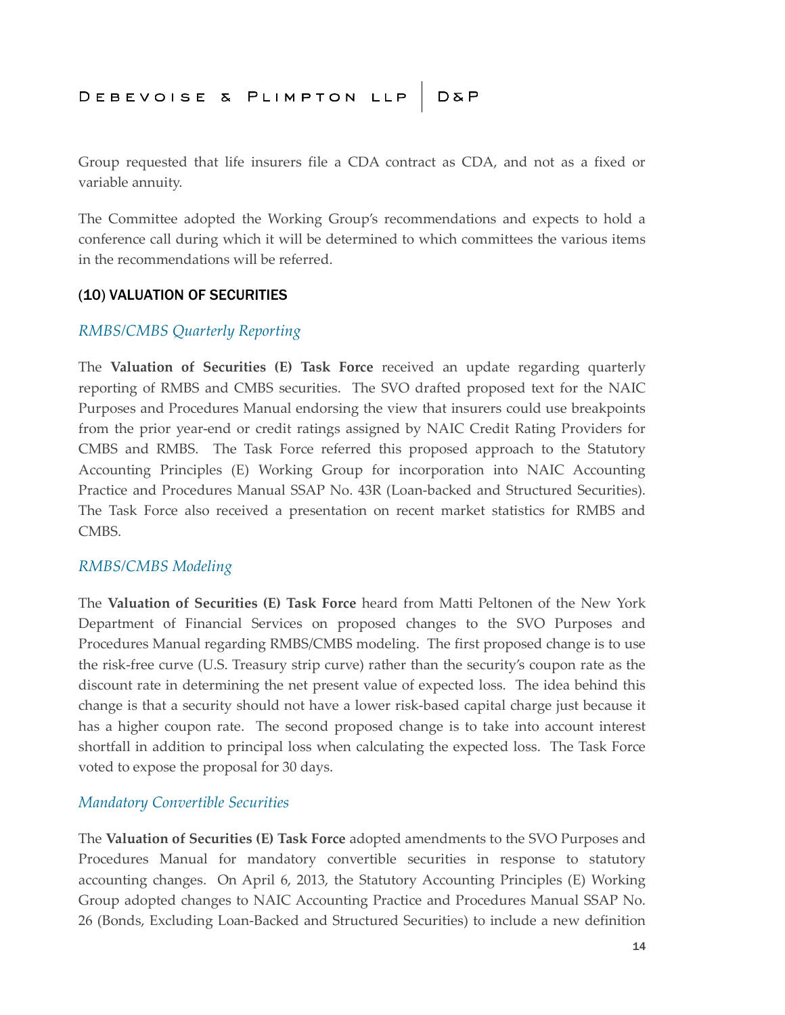Group requested that life insurers file a CDA contract as CDA, and not as a fixed or variable annuity.

The Committee adopted the Working Group's recommendations and expects to hold a conference call during which it will be determined to which committees the various items in the recommendations will be referred.

### (10) VALUATION OF SECURITIES

### *RMBS/CMBS Quarterly Reporting*

The **Valuation of Securities (E) Task Force** received an update regarding quarterly reporting of RMBS and CMBS securities. The SVO drafted proposed text for the NAIC Purposes and Procedures Manual endorsing the view that insurers could use breakpoints from the prior year-end or credit ratings assigned by NAIC Credit Rating Providers for CMBS and RMBS. The Task Force referred this proposed approach to the Statutory Accounting Principles (E) Working Group for incorporation into NAIC Accounting Practice and Procedures Manual SSAP No. 43R (Loan-backed and Structured Securities). The Task Force also received a presentation on recent market statistics for RMBS and CMBS.

### *RMBS/CMBS Modeling*

The **Valuation of Securities (E) Task Force** heard from Matti Peltonen of the New York Department of Financial Services on proposed changes to the SVO Purposes and Procedures Manual regarding RMBS/CMBS modeling. The first proposed change is to use the risk-free curve (U.S. Treasury strip curve) rather than the security's coupon rate as the discount rate in determining the net present value of expected loss. The idea behind this change is that a security should not have a lower risk-based capital charge just because it has a higher coupon rate. The second proposed change is to take into account interest shortfall in addition to principal loss when calculating the expected loss. The Task Force voted to expose the proposal for 30 days.

### *Mandatory Convertible Securities*

The **Valuation of Securities (E) Task Force** adopted amendments to the SVO Purposes and Procedures Manual for mandatory convertible securities in response to statutory accounting changes. On April 6, 2013, the Statutory Accounting Principles (E) Working Group adopted changes to NAIC Accounting Practice and Procedures Manual SSAP No. 26 (Bonds, Excluding Loan-Backed and Structured Securities) to include a new definition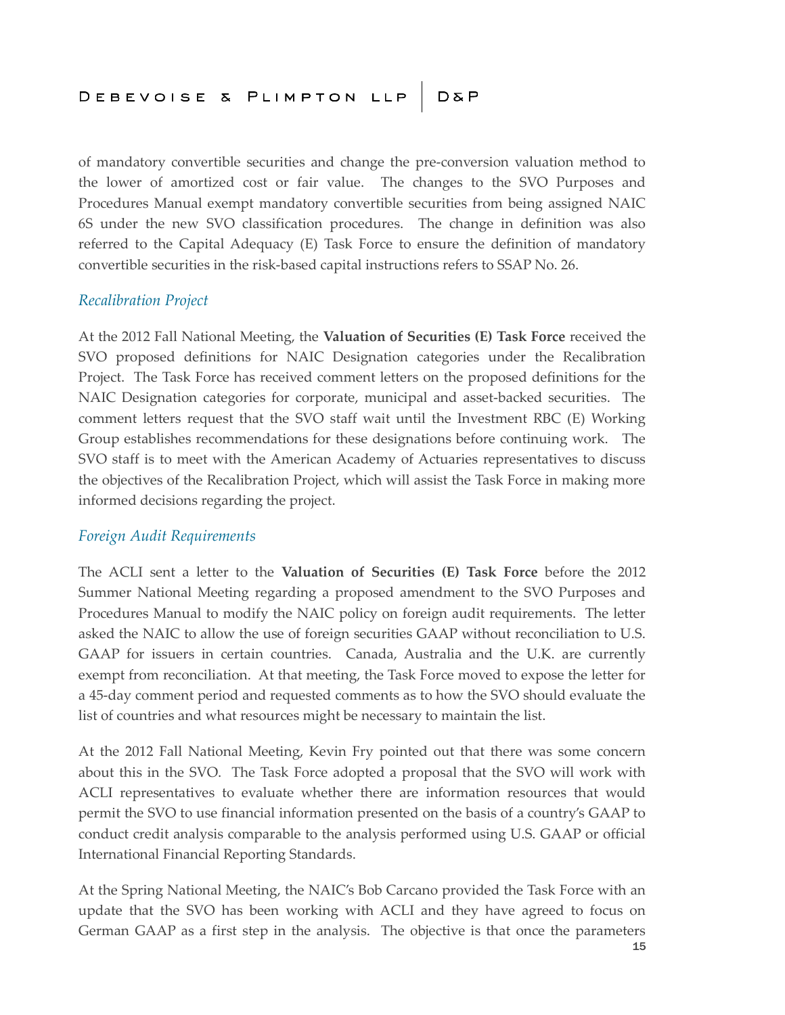of mandatory convertible securities and change the pre-conversion valuation method to the lower of amortized cost or fair value. The changes to the SVO Purposes and Procedures Manual exempt mandatory convertible securities from being assigned NAIC 6S under the new SVO classification procedures. The change in definition was also referred to the Capital Adequacy (E) Task Force to ensure the definition of mandatory convertible securities in the risk-based capital instructions refers to SSAP No. 26.

### *Recalibration Project*

At the 2012 Fall National Meeting, the **Valuation of Securities (E) Task Force** received the SVO proposed definitions for NAIC Designation categories under the Recalibration Project. The Task Force has received comment letters on the proposed definitions for the NAIC Designation categories for corporate, municipal and asset-backed securities. The comment letters request that the SVO staff wait until the Investment RBC (E) Working Group establishes recommendations for these designations before continuing work. The SVO staff is to meet with the American Academy of Actuaries representatives to discuss the objectives of the Recalibration Project, which will assist the Task Force in making more informed decisions regarding the project.

### *Foreign Audit Requirements*

The ACLI sent a letter to the **Valuation of Securities (E) Task Force** before the 2012 Summer National Meeting regarding a proposed amendment to the SVO Purposes and Procedures Manual to modify the NAIC policy on foreign audit requirements. The letter asked the NAIC to allow the use of foreign securities GAAP without reconciliation to U.S. GAAP for issuers in certain countries. Canada, Australia and the U.K. are currently exempt from reconciliation. At that meeting, the Task Force moved to expose the letter for a 45-day comment period and requested comments as to how the SVO should evaluate the list of countries and what resources might be necessary to maintain the list.

At the 2012 Fall National Meeting, Kevin Fry pointed out that there was some concern about this in the SVO. The Task Force adopted a proposal that the SVO will work with ACLI representatives to evaluate whether there are information resources that would permit the SVO to use financial information presented on the basis of a country's GAAP to conduct credit analysis comparable to the analysis performed using U.S. GAAP or official International Financial Reporting Standards.

At the Spring National Meeting, the NAIC's Bob Carcano provided the Task Force with an update that the SVO has been working with ACLI and they have agreed to focus on German GAAP as a first step in the analysis. The objective is that once the parameters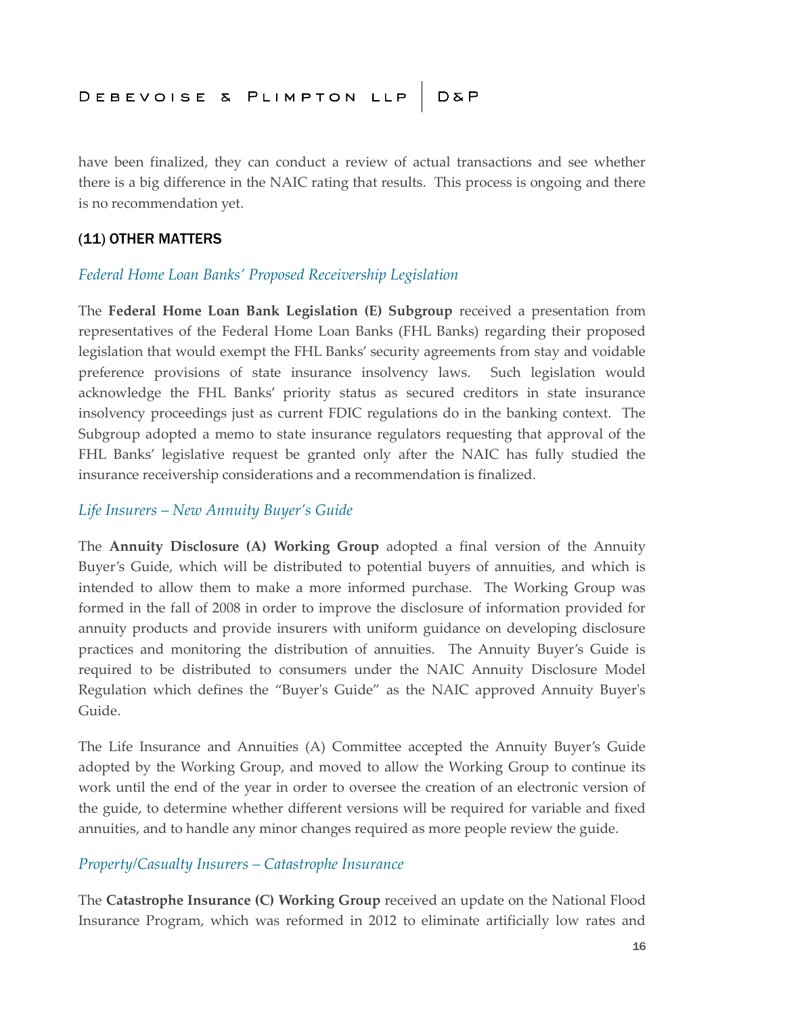have been finalized, they can conduct a review of actual transactions and see whether there is a big difference in the NAIC rating that results. This process is ongoing and there is no recommendation yet.

### (11) OTHER MATTERS

### *Federal Home Loan Banks' Proposed Receivership Legislation*

The **Federal Home Loan Bank Legislation (E) Subgroup** received a presentation from representatives of the Federal Home Loan Banks (FHL Banks) regarding their proposed legislation that would exempt the FHL Banks' security agreements from stay and voidable preference provisions of state insurance insolvency laws. Such legislation would acknowledge the FHL Banks' priority status as secured creditors in state insurance insolvency proceedings just as current FDIC regulations do in the banking context. The Subgroup adopted a memo to state insurance regulators requesting that approval of the FHL Banks' legislative request be granted only after the NAIC has fully studied the insurance receivership considerations and a recommendation is finalized.

### *Life Insurers – New Annuity Buyer's Guide*

The **Annuity Disclosure (A) Working Group** adopted a final version of the Annuity Buyer's Guide, which will be distributed to potential buyers of annuities, and which is intended to allow them to make a more informed purchase. The Working Group was formed in the fall of 2008 in order to improve the disclosure of information provided for annuity products and provide insurers with uniform guidance on developing disclosure practices and monitoring the distribution of annuities. The Annuity Buyer's Guide is required to be distributed to consumers under the NAIC Annuity Disclosure Model Regulation which defines the "Buyer's Guide" as the NAIC approved Annuity Buyer's Guide.

The Life Insurance and Annuities (A) Committee accepted the Annuity Buyer's Guide adopted by the Working Group, and moved to allow the Working Group to continue its work until the end of the year in order to oversee the creation of an electronic version of the guide, to determine whether different versions will be required for variable and fixed annuities, and to handle any minor changes required as more people review the guide.

### *Property/Casualty Insurers – Catastrophe Insurance*

The **Catastrophe Insurance (C) Working Group** received an update on the National Flood Insurance Program, which was reformed in 2012 to eliminate artificially low rates and